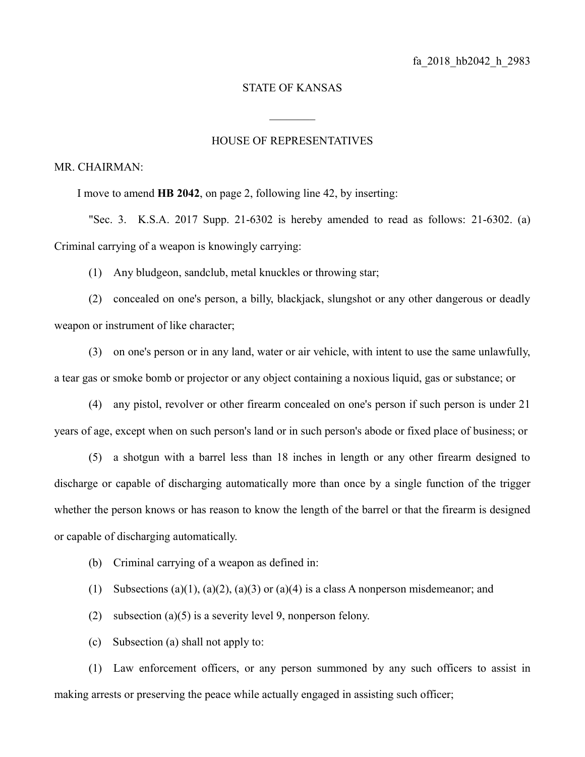## STATE OF KANSAS

 $\frac{1}{2}$ 

## HOUSE OF REPRESENTATIVES

## MR. CHAIRMAN:

I move to amend **HB 2042**, on page 2, following line 42, by inserting:

"Sec. 3. K.S.A. 2017 Supp. 21-6302 is hereby amended to read as follows: 21-6302. (a) Criminal carrying of a weapon is knowingly carrying:

(1) Any bludgeon, sandclub, metal knuckles or throwing star;

(2) concealed on one's person, a billy, blackjack, slungshot or any other dangerous or deadly weapon or instrument of like character;

(3) on one's person or in any land, water or air vehicle, with intent to use the same unlawfully, a tear gas or smoke bomb or projector or any object containing a noxious liquid, gas or substance; or

(4) any pistol, revolver or other firearm concealed on one's person if such person is under 21 years of age, except when on such person's land or in such person's abode or fixed place of business; or

(5) a shotgun with a barrel less than 18 inches in length or any other firearm designed to discharge or capable of discharging automatically more than once by a single function of the trigger whether the person knows or has reason to know the length of the barrel or that the firearm is designed or capable of discharging automatically.

- (b) Criminal carrying of a weapon as defined in:
- (1) Subsections (a)(1), (a)(2), (a)(3) or (a)(4) is a class A nonperson misdemeanor; and
- (2) subsection (a)(5) is a severity level 9, nonperson felony.
- (c) Subsection (a) shall not apply to:

(1) Law enforcement officers, or any person summoned by any such officers to assist in making arrests or preserving the peace while actually engaged in assisting such officer;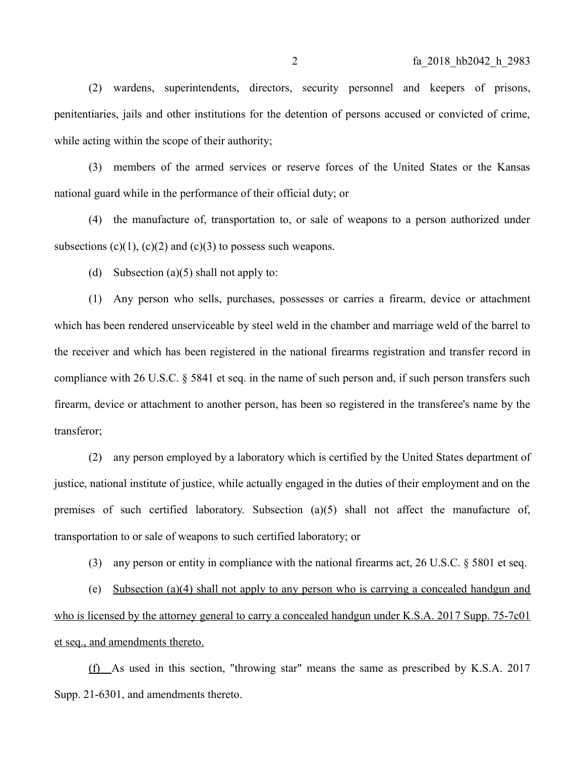(2) wardens, superintendents, directors, security personnel and keepers of prisons, penitentiaries, jails and other institutions for the detention of persons accused or convicted of crime, while acting within the scope of their authority;

(3) members of the armed services or reserve forces of the United States or the Kansas national guard while in the performance of their official duty; or

(4) the manufacture of, transportation to, or sale of weapons to a person authorized under subsections  $(c)(1)$ ,  $(c)(2)$  and  $(c)(3)$  to possess such weapons.

(d) Subsection (a)(5) shall not apply to:

(1) Any person who sells, purchases, possesses or carries a firearm, device or attachment which has been rendered unserviceable by steel weld in the chamber and marriage weld of the barrel to the receiver and which has been registered in the national firearms registration and transfer record in compliance with 26 U.S.C. § 5841 et seq. in the name of such person and, if such person transfers such firearm, device or attachment to another person, has been so registered in the transferee's name by the transferor;

(2) any person employed by a laboratory which is certified by the United States department of justice, national institute of justice, while actually engaged in the duties of their employment and on the premises of such certified laboratory. Subsection (a)(5) shall not affect the manufacture of, transportation to or sale of weapons to such certified laboratory; or

(3) any person or entity in compliance with the national firearms act, 26 U.S.C. § 5801 et seq.

(e) Subsection (a)(4) shall not apply to any person who is carrying a concealed handgun and who is licensed by the attorney general to carry a concealed handgun under K.S.A. 2017 Supp. 75-7c01 et seq., and amendments thereto.

(f) As used in this section, "throwing star" means the same as prescribed by K.S.A. 2017 Supp. 21-6301, and amendments thereto.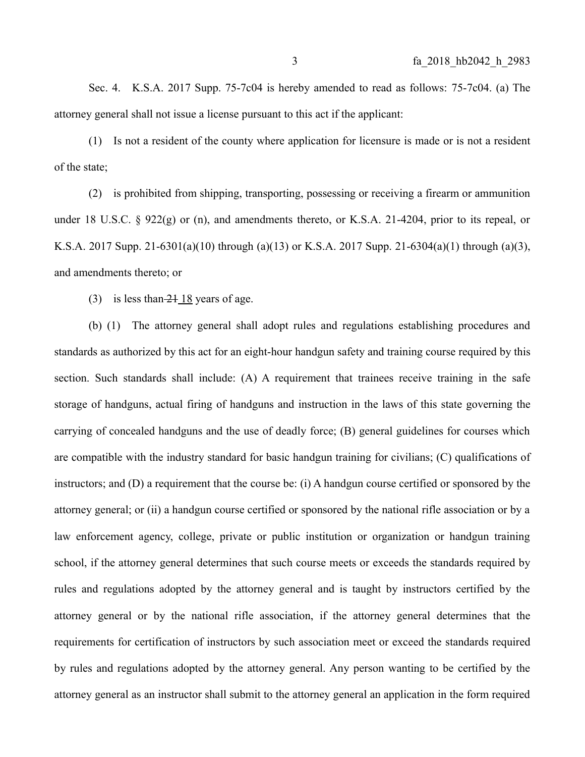Sec. 4. K.S.A. 2017 Supp. 75-7c04 is hereby amended to read as follows: 75-7c04. (a) The attorney general shall not issue a license pursuant to this act if the applicant:

(1) Is not a resident of the county where application for licensure is made or is not a resident of the state;

(2) is prohibited from shipping, transporting, possessing or receiving a firearm or ammunition under 18 U.S.C. § 922(g) or (n), and amendments thereto, or K.S.A. 21-4204, prior to its repeal, or K.S.A. 2017 Supp. 21-6301(a)(10) through (a)(13) or K.S.A. 2017 Supp. 21-6304(a)(1) through (a)(3), and amendments thereto; or

(3) is less than  $-21 \overline{18}$  years of age.

(b) (1) The attorney general shall adopt rules and regulations establishing procedures and standards as authorized by this act for an eight-hour handgun safety and training course required by this section. Such standards shall include: (A) A requirement that trainees receive training in the safe storage of handguns, actual firing of handguns and instruction in the laws of this state governing the carrying of concealed handguns and the use of deadly force; (B) general guidelines for courses which are compatible with the industry standard for basic handgun training for civilians; (C) qualifications of instructors; and (D) a requirement that the course be: (i) A handgun course certified or sponsored by the attorney general; or (ii) a handgun course certified or sponsored by the national rifle association or by a law enforcement agency, college, private or public institution or organization or handgun training school, if the attorney general determines that such course meets or exceeds the standards required by rules and regulations adopted by the attorney general and is taught by instructors certified by the attorney general or by the national rifle association, if the attorney general determines that the requirements for certification of instructors by such association meet or exceed the standards required by rules and regulations adopted by the attorney general. Any person wanting to be certified by the attorney general as an instructor shall submit to the attorney general an application in the form required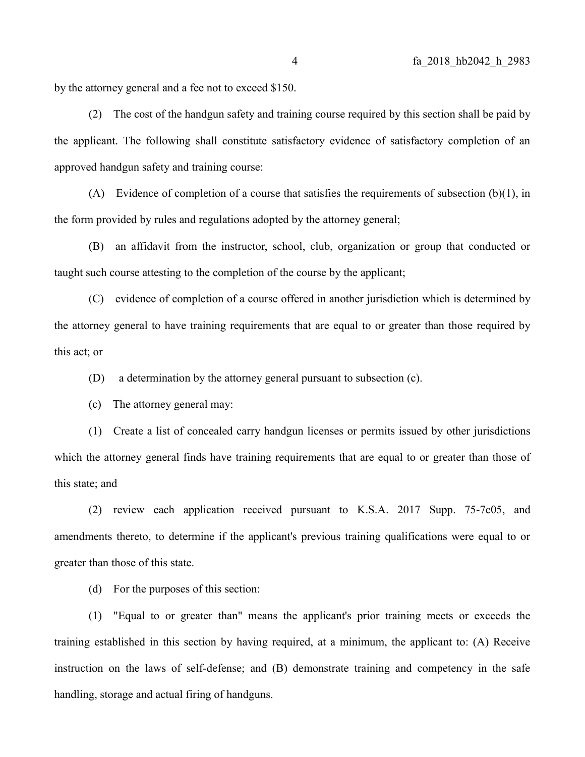by the attorney general and a fee not to exceed \$150.

(2) The cost of the handgun safety and training course required by this section shall be paid by the applicant. The following shall constitute satisfactory evidence of satisfactory completion of an approved handgun safety and training course:

(A) Evidence of completion of a course that satisfies the requirements of subsection  $(b)(1)$ , in the form provided by rules and regulations adopted by the attorney general;

(B) an affidavit from the instructor, school, club, organization or group that conducted or taught such course attesting to the completion of the course by the applicant;

(C) evidence of completion of a course offered in another jurisdiction which is determined by the attorney general to have training requirements that are equal to or greater than those required by this act; or

(D) a determination by the attorney general pursuant to subsection (c).

(c) The attorney general may:

(1) Create a list of concealed carry handgun licenses or permits issued by other jurisdictions which the attorney general finds have training requirements that are equal to or greater than those of this state; and

(2) review each application received pursuant to K.S.A. 2017 Supp. 75-7c05, and amendments thereto, to determine if the applicant's previous training qualifications were equal to or greater than those of this state.

(d) For the purposes of this section:

(1) "Equal to or greater than" means the applicant's prior training meets or exceeds the training established in this section by having required, at a minimum, the applicant to: (A) Receive instruction on the laws of self-defense; and (B) demonstrate training and competency in the safe handling, storage and actual firing of handguns.